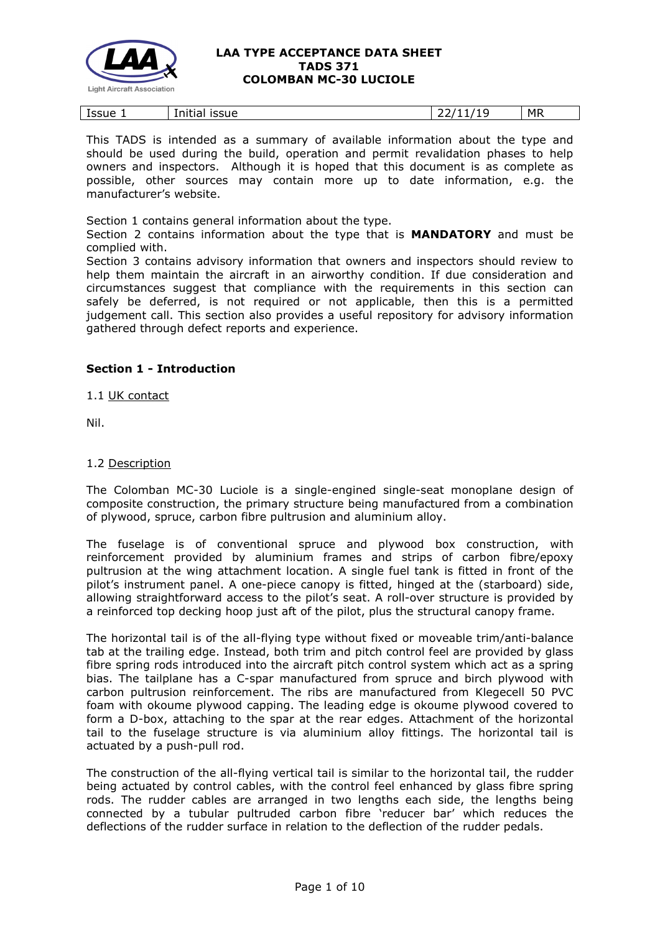

| <b>MR</b><br>.<br>Issue<br>issue<br>.<br>Initia <sup>.</sup><br>--<br>-- |
|--------------------------------------------------------------------------|
|--------------------------------------------------------------------------|

This TADS is intended as a summary of available information about the type and should be used during the build, operation and permit revalidation phases to help owners and inspectors. Although it is hoped that this document is as complete as possible, other sources may contain more up to date information, e.g. the manufacturer's website.

Section 1 contains general information about the type.

Section 2 contains information about the type that is **MANDATORY** and must be complied with.

Section 3 contains advisory information that owners and inspectors should review to help them maintain the aircraft in an airworthy condition. If due consideration and circumstances suggest that compliance with the requirements in this section can safely be deferred, is not required or not applicable, then this is a permitted judgement call. This section also provides a useful repository for advisory information gathered through defect reports and experience.

# **Section 1 - Introduction**

1.1 UK contact

Nil.

### 1.2 Description

The Colomban MC-30 Luciole is a single-engined single-seat monoplane design of composite construction, the primary structure being manufactured from a combination of plywood, spruce, carbon fibre pultrusion and aluminium alloy.

The fuselage is of conventional spruce and plywood box construction, with reinforcement provided by aluminium frames and strips of carbon fibre/epoxy pultrusion at the wing attachment location. A single fuel tank is fitted in front of the pilot's instrument panel. A one-piece canopy is fitted, hinged at the (starboard) side, allowing straightforward access to the pilot's seat. A roll-over structure is provided by a reinforced top decking hoop just aft of the pilot, plus the structural canopy frame.

The horizontal tail is of the all-flying type without fixed or moveable trim/anti-balance tab at the trailing edge. Instead, both trim and pitch control feel are provided by glass fibre spring rods introduced into the aircraft pitch control system which act as a spring bias. The tailplane has a C-spar manufactured from spruce and birch plywood with carbon pultrusion reinforcement. The ribs are manufactured from Klegecell 50 PVC foam with okoume plywood capping. The leading edge is okoume plywood covered to form a D-box, attaching to the spar at the rear edges. Attachment of the horizontal tail to the fuselage structure is via aluminium alloy fittings. The horizontal tail is actuated by a push-pull rod.

The construction of the all-flying vertical tail is similar to the horizontal tail, the rudder being actuated by control cables, with the control feel enhanced by glass fibre spring rods. The rudder cables are arranged in two lengths each side, the lengths being connected by a tubular pultruded carbon fibre 'reducer bar' which reduces the deflections of the rudder surface in relation to the deflection of the rudder pedals.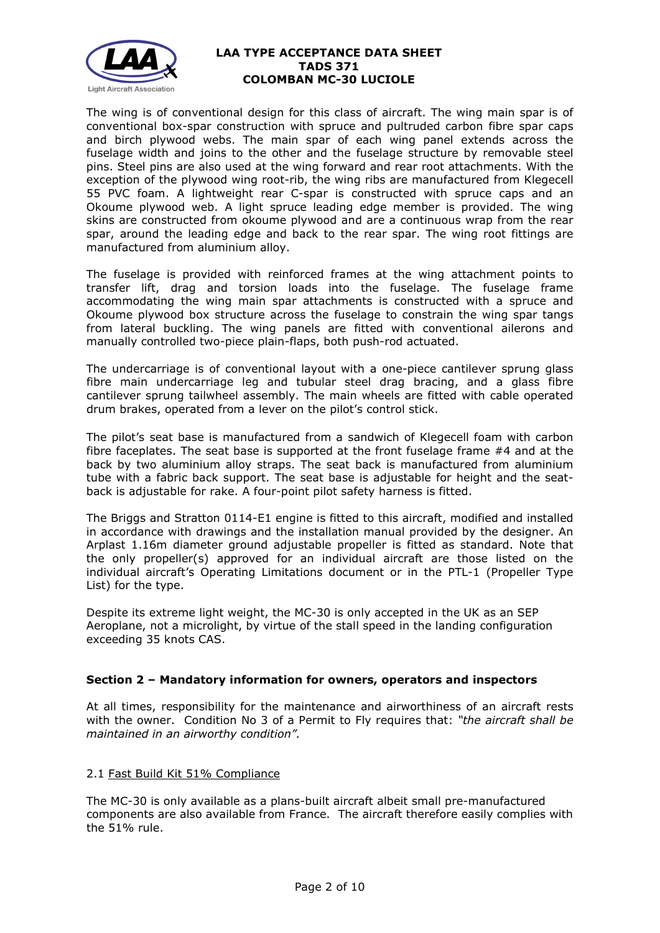

The wing is of conventional design for this class of aircraft. The wing main spar is of conventional box-spar construction with spruce and pultruded carbon fibre spar caps and birch plywood webs. The main spar of each wing panel extends across the fuselage width and joins to the other and the fuselage structure by removable steel pins. Steel pins are also used at the wing forward and rear root attachments. With the exception of the plywood wing root-rib, the wing ribs are manufactured from Klegecell 55 PVC foam. A lightweight rear C-spar is constructed with spruce caps and an Okoume plywood web. A light spruce leading edge member is provided. The wing skins are constructed from okoume plywood and are a continuous wrap from the rear spar, around the leading edge and back to the rear spar. The wing root fittings are manufactured from aluminium alloy.

The fuselage is provided with reinforced frames at the wing attachment points to transfer lift, drag and torsion loads into the fuselage. The fuselage frame accommodating the wing main spar attachments is constructed with a spruce and Okoume plywood box structure across the fuselage to constrain the wing spar tangs from lateral buckling. The wing panels are fitted with conventional ailerons and manually controlled two-piece plain-flaps, both push-rod actuated.

The undercarriage is of conventional layout with a one-piece cantilever sprung glass fibre main undercarriage leg and tubular steel drag bracing, and a glass fibre cantilever sprung tailwheel assembly. The main wheels are fitted with cable operated drum brakes, operated from a lever on the pilot's control stick.

The pilot's seat base is manufactured from a sandwich of Klegecell foam with carbon fibre faceplates. The seat base is supported at the front fuselage frame #4 and at the back by two aluminium alloy straps. The seat back is manufactured from aluminium tube with a fabric back support. The seat base is adjustable for height and the seatback is adjustable for rake. A four-point pilot safety harness is fitted.

The Briggs and Stratton 0114-E1 engine is fitted to this aircraft, modified and installed in accordance with drawings and the installation manual provided by the designer. An Arplast 1.16m diameter ground adjustable propeller is fitted as standard. Note that the only propeller(s) approved for an individual aircraft are those listed on the individual aircraft's Operating Limitations document or in the PTL-1 (Propeller Type List) for the type.

Despite its extreme light weight, the MC-30 is only accepted in the UK as an SEP Aeroplane, not a microlight, by virtue of the stall speed in the landing configuration exceeding 35 knots CAS.

### **Section 2 – Mandatory information for owners, operators and inspectors**

At all times, responsibility for the maintenance and airworthiness of an aircraft rests with the owner. Condition No 3 of a Permit to Fly requires that: *"the aircraft shall be maintained in an airworthy condition".* 

### 2.1 Fast Build Kit 51% Compliance

The MC-30 is only available as a plans-built aircraft albeit small pre-manufactured components are also available from France. The aircraft therefore easily complies with the 51% rule.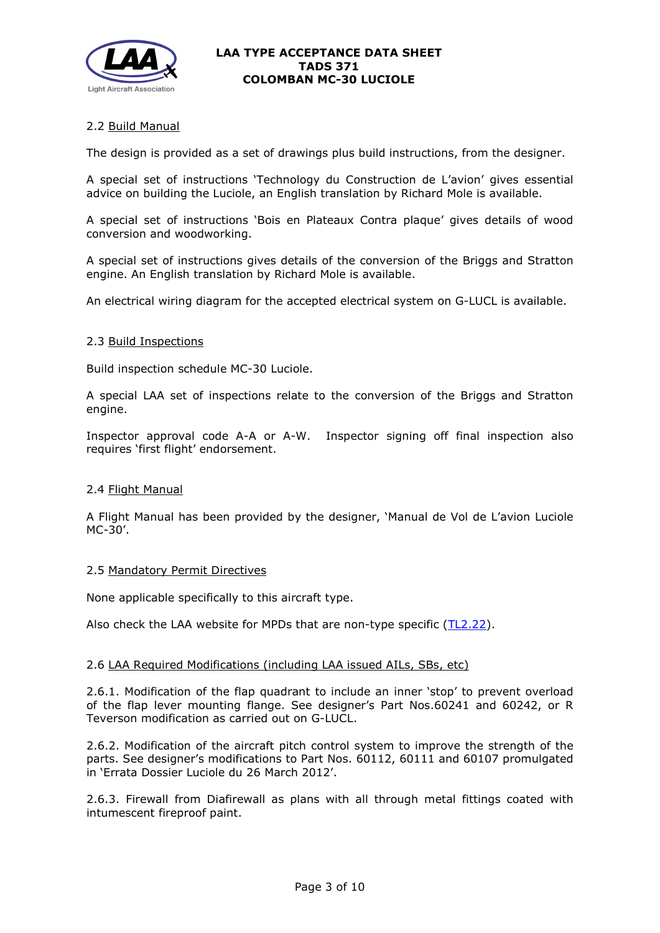

# 2.2 Build Manual

The design is provided as a set of drawings plus build instructions, from the designer.

A special set of instructions 'Technology du Construction de L'avion' gives essential advice on building the Luciole, an English translation by Richard Mole is available.

A special set of instructions 'Bois en Plateaux Contra plaque' gives details of wood conversion and woodworking.

A special set of instructions gives details of the conversion of the Briggs and Stratton engine. An English translation by Richard Mole is available.

An electrical wiring diagram for the accepted electrical system on G-LUCL is available.

#### 2.3 Build Inspections

Build inspection schedule MC-30 Luciole.

A special LAA set of inspections relate to the conversion of the Briggs and Stratton engine.

Inspector approval code A-A or A-W. Inspector signing off final inspection also requires 'first flight' endorsement.

### 2.4 Flight Manual

A Flight Manual has been provided by the designer, 'Manual de Vol de L'avion Luciole MC-30'.

### 2.5 Mandatory Permit Directives

None applicable specifically to this aircraft type.

Also check the LAA website for MPDs that are non-type specific [\(TL2.22\)](http://www.lightaircraftassociation.co.uk/engineering/TechnicalLeaflets/Operating%20An%20Aircraft/TL%202.22%20non-type%20specific%20MPDs.pdf).

#### 2.6 LAA Required Modifications (including LAA issued AILs, SBs, etc)

2.6.1. Modification of the flap quadrant to include an inner 'stop' to prevent overload of the flap lever mounting flange. See designer's Part Nos.60241 and 60242, or R Teverson modification as carried out on G-LUCL.

2.6.2. Modification of the aircraft pitch control system to improve the strength of the parts. See designer's modifications to Part Nos. 60112, 60111 and 60107 promulgated in 'Errata Dossier Luciole du 26 March 2012'.

2.6.3. Firewall from Diafirewall as plans with all through metal fittings coated with intumescent fireproof paint.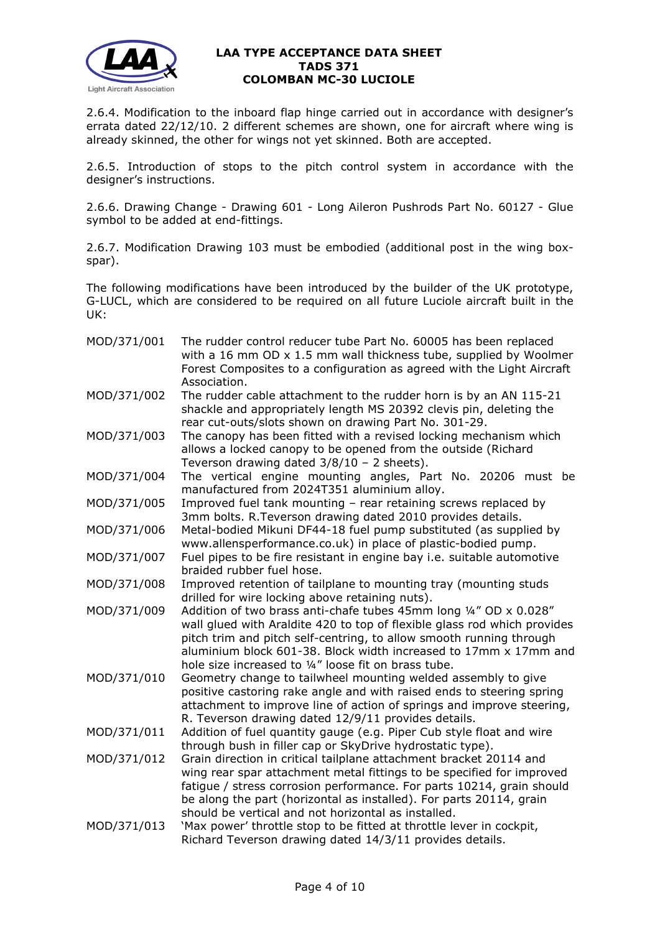

2.6.4. Modification to the inboard flap hinge carried out in accordance with designer's errata dated 22/12/10. 2 different schemes are shown, one for aircraft where wing is already skinned, the other for wings not yet skinned. Both are accepted.

2.6.5. Introduction of stops to the pitch control system in accordance with the designer's instructions.

2.6.6. Drawing Change - Drawing 601 - Long Aileron Pushrods Part No. 60127 - Glue symbol to be added at end-fittings.

2.6.7. Modification Drawing 103 must be embodied (additional post in the wing boxspar).

The following modifications have been introduced by the builder of the UK prototype, G-LUCL, which are considered to be required on all future Luciole aircraft built in the UK:

| MOD/371/001 | The rudder control reducer tube Part No. 60005 has been replaced<br>with a 16 mm OD x 1.5 mm wall thickness tube, supplied by Woolmer<br>Forest Composites to a configuration as agreed with the Light Aircraft<br>Association.                                                                                                                    |  |  |  |  |  |
|-------------|----------------------------------------------------------------------------------------------------------------------------------------------------------------------------------------------------------------------------------------------------------------------------------------------------------------------------------------------------|--|--|--|--|--|
| MOD/371/002 | The rudder cable attachment to the rudder horn is by an AN 115-21<br>shackle and appropriately length MS 20392 clevis pin, deleting the<br>rear cut-outs/slots shown on drawing Part No. 301-29.                                                                                                                                                   |  |  |  |  |  |
| MOD/371/003 | The canopy has been fitted with a revised locking mechanism which<br>allows a locked canopy to be opened from the outside (Richard<br>Teverson drawing dated $3/8/10 - 2$ sheets).                                                                                                                                                                 |  |  |  |  |  |
| MOD/371/004 | The vertical engine mounting angles, Part No. 20206 must be<br>manufactured from 2024T351 aluminium alloy.                                                                                                                                                                                                                                         |  |  |  |  |  |
| MOD/371/005 | Improved fuel tank mounting - rear retaining screws replaced by<br>3mm bolts. R. Teverson drawing dated 2010 provides details.                                                                                                                                                                                                                     |  |  |  |  |  |
| MOD/371/006 | Metal-bodied Mikuni DF44-18 fuel pump substituted (as supplied by<br>www.allensperformance.co.uk) in place of plastic-bodied pump.                                                                                                                                                                                                                 |  |  |  |  |  |
| MOD/371/007 | Fuel pipes to be fire resistant in engine bay i.e. suitable automotive<br>braided rubber fuel hose.                                                                                                                                                                                                                                                |  |  |  |  |  |
| MOD/371/008 | Improved retention of tailplane to mounting tray (mounting studs<br>drilled for wire locking above retaining nuts).                                                                                                                                                                                                                                |  |  |  |  |  |
| MOD/371/009 | Addition of two brass anti-chafe tubes 45mm long 1/4" OD x 0.028"<br>wall glued with Araldite 420 to top of flexible glass rod which provides<br>pitch trim and pitch self-centring, to allow smooth running through<br>aluminium block 601-38. Block width increased to 17mm x 17mm and<br>hole size increased to 1/4" loose fit on brass tube.   |  |  |  |  |  |
| MOD/371/010 | Geometry change to tailwheel mounting welded assembly to give<br>positive castoring rake angle and with raised ends to steering spring<br>attachment to improve line of action of springs and improve steering,<br>R. Teverson drawing dated 12/9/11 provides details.                                                                             |  |  |  |  |  |
| MOD/371/011 | Addition of fuel quantity gauge (e.g. Piper Cub style float and wire<br>through bush in filler cap or SkyDrive hydrostatic type).                                                                                                                                                                                                                  |  |  |  |  |  |
| MOD/371/012 | Grain direction in critical tailplane attachment bracket 20114 and<br>wing rear spar attachment metal fittings to be specified for improved<br>fatigue / stress corrosion performance. For parts 10214, grain should<br>be along the part (horizontal as installed). For parts 20114, grain<br>should be vertical and not horizontal as installed. |  |  |  |  |  |
| MOD/371/013 | 'Max power' throttle stop to be fitted at throttle lever in cockpit,<br>Richard Teverson drawing dated 14/3/11 provides details.                                                                                                                                                                                                                   |  |  |  |  |  |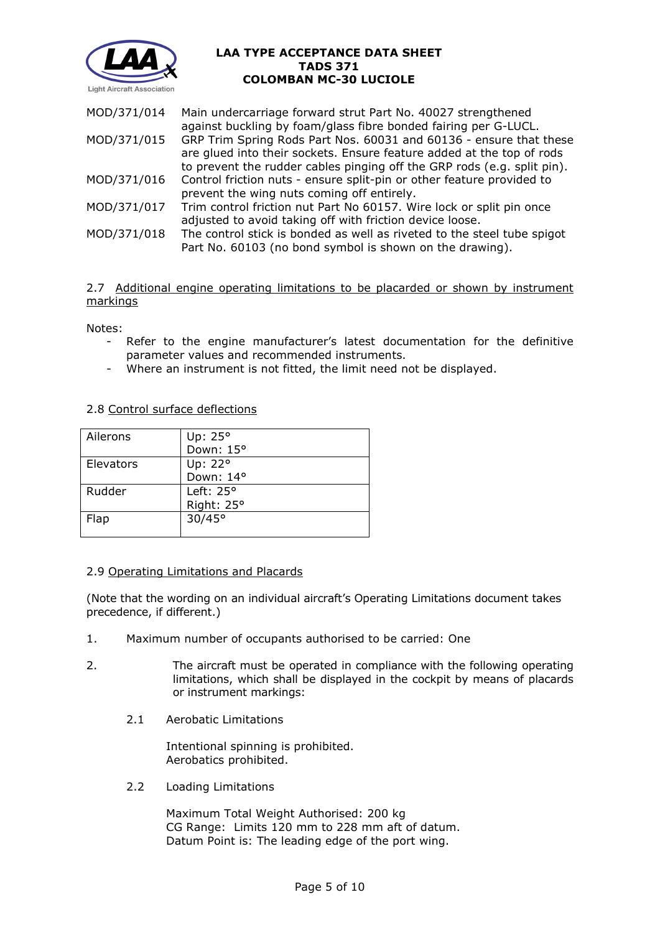

| MOD/371/014 | Main undercarriage forward strut Part No. 40027 strengthened<br>against buckling by foam/glass fibre bonded fairing per G-LUCL.                                                                                        |
|-------------|------------------------------------------------------------------------------------------------------------------------------------------------------------------------------------------------------------------------|
| MOD/371/015 | GRP Trim Spring Rods Part Nos. 60031 and 60136 - ensure that these<br>are glued into their sockets. Ensure feature added at the top of rods<br>to prevent the rudder cables pinging off the GRP rods (e.g. split pin). |
| MOD/371/016 | Control friction nuts - ensure split-pin or other feature provided to<br>prevent the wing nuts coming off entirely.                                                                                                    |
| MOD/371/017 | Trim control friction nut Part No 60157. Wire lock or split pin once<br>adjusted to avoid taking off with friction device loose.                                                                                       |
| MOD/371/018 | The control stick is bonded as well as riveted to the steel tube spigot<br>Part No. 60103 (no bond symbol is shown on the drawing).                                                                                    |

2.7 Additional engine operating limitations to be placarded or shown by instrument markings

Notes:

- Refer to the engine manufacturer's latest documentation for the definitive parameter values and recommended instruments.
- Where an instrument is not fitted, the limit need not be displayed.

### 2.8 Control surface deflections

| Ailerons  | Up: $25^\circ$     |
|-----------|--------------------|
|           | Down: 15°          |
| Elevators | Up: 22°            |
|           | Down: 14°          |
| Rudder    | Left: $25^{\circ}$ |
|           | Right: 25°         |
| Flap      | $30/45^{\circ}$    |
|           |                    |

### 2.9 Operating Limitations and Placards

(Note that the wording on an individual aircraft's Operating Limitations document takes precedence, if different.)

- 1. Maximum number of occupants authorised to be carried: One
- 2. The aircraft must be operated in compliance with the following operating limitations, which shall be displayed in the cockpit by means of placards or instrument markings:
	- 2.1 Aerobatic Limitations

Intentional spinning is prohibited. Aerobatics prohibited.

2.2 Loading Limitations

Maximum Total Weight Authorised: 200 kg CG Range: Limits 120 mm to 228 mm aft of datum. Datum Point is: The leading edge of the port wing.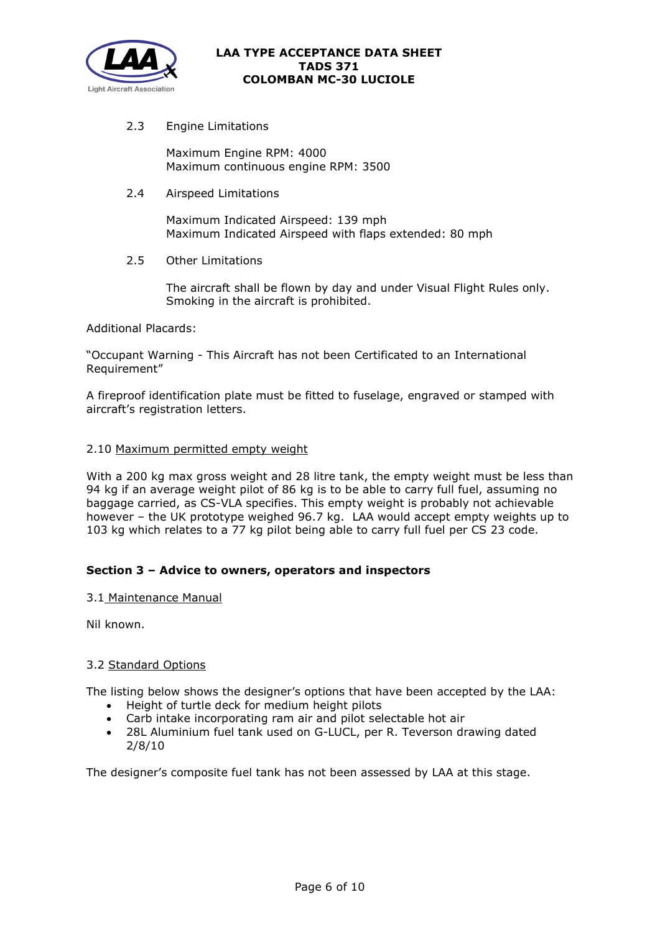

2.3 Engine Limitations

Maximum Engine RPM: 4000 Maximum continuous engine RPM: 3500

2.4 Airspeed Limitations

Maximum Indicated Airspeed: 139 mph Maximum Indicated Airspeed with flaps extended: 80 mph

2.5 Other Limitations

The aircraft shall be flown by day and under Visual Flight Rules only. Smoking in the aircraft is prohibited.

Additional Placards:

"Occupant Warning - This Aircraft has not been Certificated to an International Requirement"

A fireproof identification plate must be fitted to fuselage, engraved or stamped with aircraft's registration letters.

# 2.10 Maximum permitted empty weight

With a 200 kg max gross weight and 28 litre tank, the empty weight must be less than 94 kg if an average weight pilot of 86 kg is to be able to carry full fuel, assuming no baggage carried, as CS-VLA specifies. This empty weight is probably not achievable however – the UK prototype weighed 96.7 kg. LAA would accept empty weights up to 103 kg which relates to a 77 kg pilot being able to carry full fuel per CS 23 code.

# **Section 3 – Advice to owners, operators and inspectors**

### 3.1 Maintenance Manual

Nil known.

### 3.2 Standard Options

The listing below shows the designer's options that have been accepted by the LAA:

- Height of turtle deck for medium height pilots
- 
- Carb intake incorporating ram air and pilot selectable hot air<br>• 28L Aluminium fuel tank used on G-LUCL. per R. Teverson dr • 28L Aluminium fuel tank used on G-LUCL, per R. Teverson drawing dated 2/8/10

The designer's composite fuel tank has not been assessed by LAA at this stage.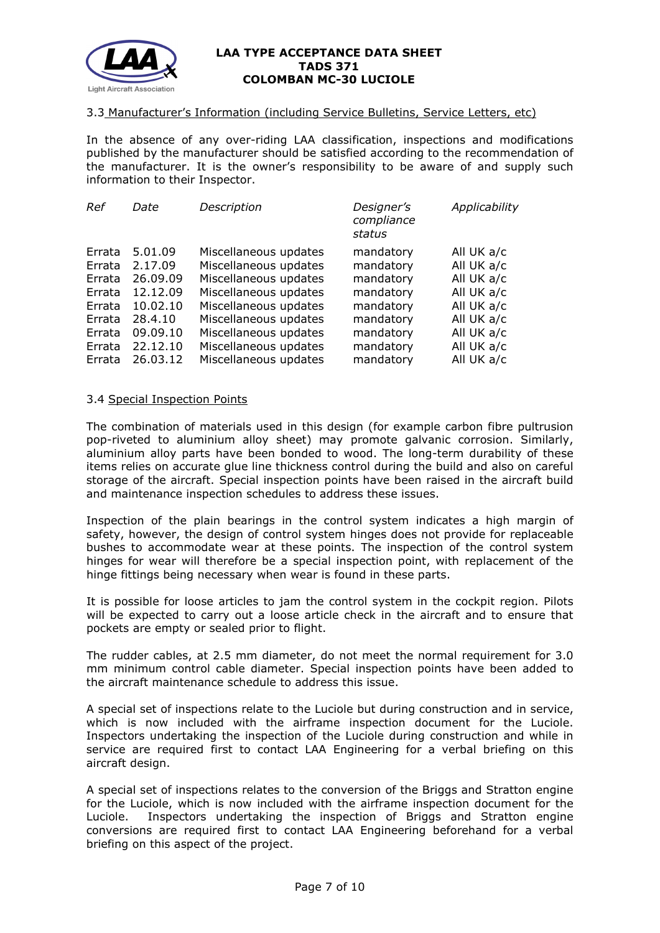

#### 3.3 Manufacturer's Information (including Service Bulletins, Service Letters, etc)

In the absence of any over-riding LAA classification, inspections and modifications published by the manufacturer should be satisfied according to the recommendation of the manufacturer. It is the owner's responsibility to be aware of and supply such information to their Inspector.

| Date     | Description           | Designer's<br>compliance<br>status | Applicability |
|----------|-----------------------|------------------------------------|---------------|
| 5.01.09  | Miscellaneous updates | mandatory                          | All UK a/c    |
| 2.17.09  | Miscellaneous updates | mandatory                          | All UK a/c    |
| 26,09,09 | Miscellaneous updates | mandatory                          | All UK a/c    |
| 12.12.09 | Miscellaneous updates | mandatory                          | All UK a/c    |
| 10.02.10 | Miscellaneous updates | mandatory                          | All UK a/c    |
| 28.4.10  | Miscellaneous updates | mandatory                          | All UK a/c    |
| 09.09.10 | Miscellaneous updates | mandatory                          | All UK a/c    |
| 22.12.10 | Miscellaneous updates | mandatory                          | All UK a/c    |
| 26.03.12 | Miscellaneous updates | mandatory                          | All UK a/c    |
|          |                       |                                    |               |

#### 3.4 Special Inspection Points

The combination of materials used in this design (for example carbon fibre pultrusion pop-riveted to aluminium alloy sheet) may promote galvanic corrosion. Similarly, aluminium alloy parts have been bonded to wood. The long-term durability of these items relies on accurate glue line thickness control during the build and also on careful storage of the aircraft. Special inspection points have been raised in the aircraft build and maintenance inspection schedules to address these issues.

Inspection of the plain bearings in the control system indicates a high margin of safety, however, the design of control system hinges does not provide for replaceable bushes to accommodate wear at these points. The inspection of the control system hinges for wear will therefore be a special inspection point, with replacement of the hinge fittings being necessary when wear is found in these parts.

It is possible for loose articles to jam the control system in the cockpit region. Pilots will be expected to carry out a loose article check in the aircraft and to ensure that pockets are empty or sealed prior to flight.

The rudder cables, at 2.5 mm diameter, do not meet the normal requirement for 3.0 mm minimum control cable diameter. Special inspection points have been added to the aircraft maintenance schedule to address this issue.

A special set of inspections relate to the Luciole but during construction and in service, which is now included with the airframe inspection document for the Luciole. Inspectors undertaking the inspection of the Luciole during construction and while in service are required first to contact LAA Engineering for a verbal briefing on this aircraft design.

A special set of inspections relates to the conversion of the Briggs and Stratton engine for the Luciole, which is now included with the airframe inspection document for the Luciole. Inspectors undertaking the inspection of Briggs and Stratton engine conversions are required first to contact LAA Engineering beforehand for a verbal briefing on this aspect of the project.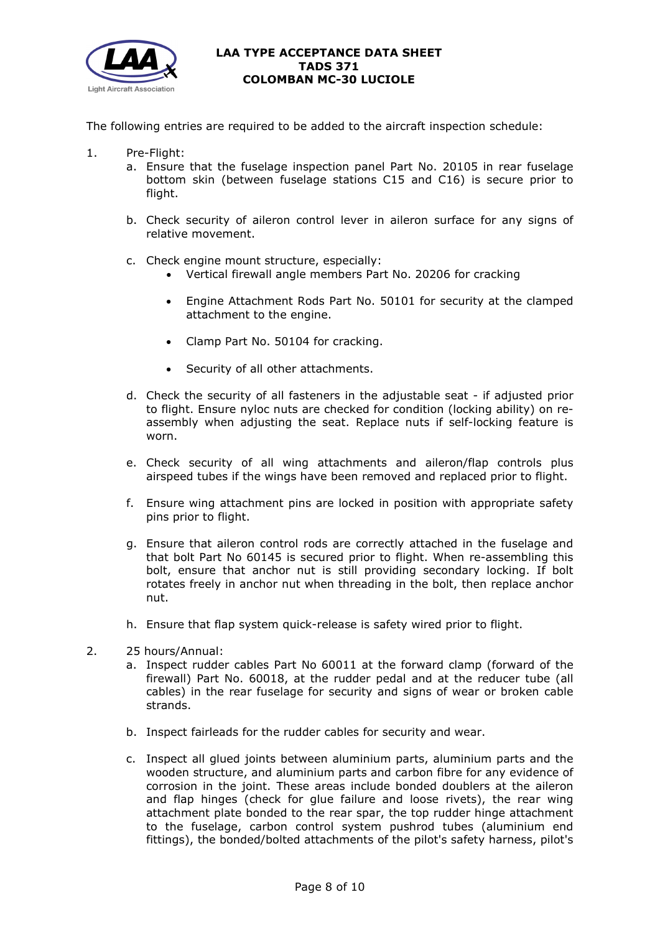

The following entries are required to be added to the aircraft inspection schedule:

- 1. Pre-Flight:
	- a. Ensure that the fuselage inspection panel Part No. 20105 in rear fuselage bottom skin (between fuselage stations C15 and C16) is secure prior to flight.
	- b. Check security of aileron control lever in aileron surface for any signs of relative movement.
	- c. Check engine mount structure, especially:
		- Vertical firewall angle members Part No. 20206 for cracking
		- Engine Attachment Rods Part No. 50101 for security at the clamped attachment to the engine.
		- Clamp Part No. 50104 for cracking.
		- Security of all other attachments.
	- d. Check the security of all fasteners in the adjustable seat if adjusted prior to flight. Ensure nyloc nuts are checked for condition (locking ability) on reassembly when adjusting the seat. Replace nuts if self-locking feature is worn.
	- e. Check security of all wing attachments and aileron/flap controls plus airspeed tubes if the wings have been removed and replaced prior to flight.
	- f. Ensure wing attachment pins are locked in position with appropriate safety pins prior to flight.
	- g. Ensure that aileron control rods are correctly attached in the fuselage and that bolt Part No 60145 is secured prior to flight. When re-assembling this bolt, ensure that anchor nut is still providing secondary locking. If bolt rotates freely in anchor nut when threading in the bolt, then replace anchor nut.
	- h. Ensure that flap system quick-release is safety wired prior to flight.
- 2. 25 hours/Annual:
	- a. Inspect rudder cables Part No 60011 at the forward clamp (forward of the firewall) Part No. 60018, at the rudder pedal and at the reducer tube (all cables) in the rear fuselage for security and signs of wear or broken cable strands.
	- b. Inspect fairleads for the rudder cables for security and wear.
	- c. Inspect all glued joints between aluminium parts, aluminium parts and the wooden structure, and aluminium parts and carbon fibre for any evidence of corrosion in the joint. These areas include bonded doublers at the aileron and flap hinges (check for glue failure and loose rivets), the rear wing attachment plate bonded to the rear spar, the top rudder hinge attachment to the fuselage, carbon control system pushrod tubes (aluminium end fittings), the bonded/bolted attachments of the pilot's safety harness, pilot's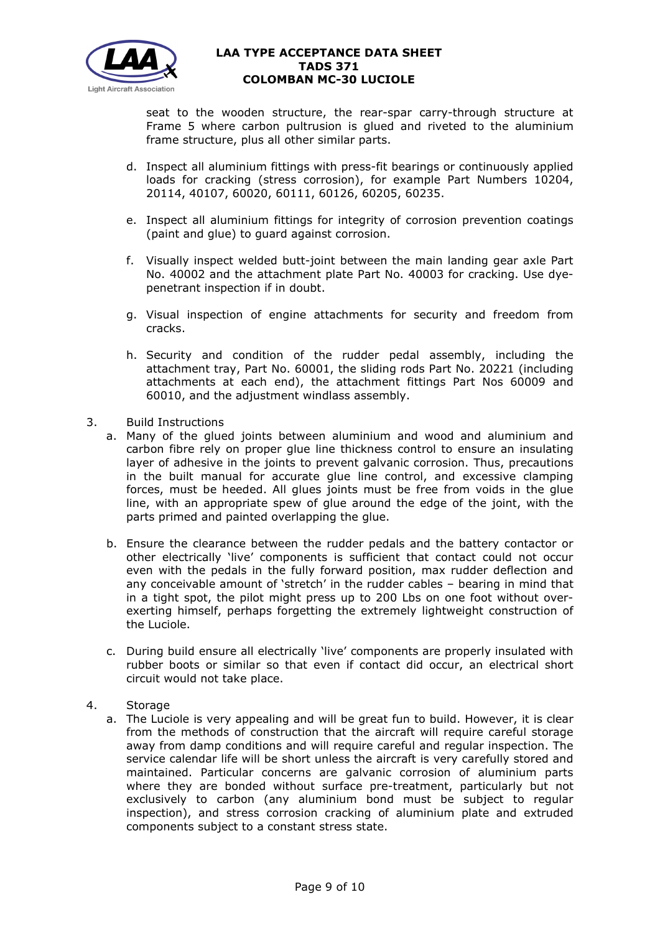

seat to the wooden structure, the rear-spar carry-through structure at Frame 5 where carbon pultrusion is glued and riveted to the aluminium frame structure, plus all other similar parts.

- d. Inspect all aluminium fittings with press-fit bearings or continuously applied loads for cracking (stress corrosion), for example Part Numbers 10204, 20114, 40107, 60020, 60111, 60126, 60205, 60235.
- e. Inspect all aluminium fittings for integrity of corrosion prevention coatings (paint and glue) to guard against corrosion.
- f. Visually inspect welded butt-joint between the main landing gear axle Part No. 40002 and the attachment plate Part No. 40003 for cracking. Use dyepenetrant inspection if in doubt.
- g. Visual inspection of engine attachments for security and freedom from cracks.
- h. Security and condition of the rudder pedal assembly, including the attachment tray, Part No. 60001, the sliding rods Part No. 20221 (including attachments at each end), the attachment fittings Part Nos 60009 and 60010, and the adjustment windlass assembly.
- 3. Build Instructions
	- a. Many of the glued joints between aluminium and wood and aluminium and carbon fibre rely on proper glue line thickness control to ensure an insulating layer of adhesive in the joints to prevent galvanic corrosion. Thus, precautions in the built manual for accurate glue line control, and excessive clamping forces, must be heeded. All glues joints must be free from voids in the glue line, with an appropriate spew of glue around the edge of the joint, with the parts primed and painted overlapping the glue.
	- b. Ensure the clearance between the rudder pedals and the battery contactor or other electrically 'live' components is sufficient that contact could not occur even with the pedals in the fully forward position, max rudder deflection and any conceivable amount of 'stretch' in the rudder cables – bearing in mind that in a tight spot, the pilot might press up to 200 Lbs on one foot without overexerting himself, perhaps forgetting the extremely lightweight construction of the Luciole.
	- c. During build ensure all electrically 'live' components are properly insulated with rubber boots or similar so that even if contact did occur, an electrical short circuit would not take place.
- 4. Storage
	- a. The Luciole is very appealing and will be great fun to build. However, it is clear from the methods of construction that the aircraft will require careful storage away from damp conditions and will require careful and regular inspection. The service calendar life will be short unless the aircraft is very carefully stored and maintained. Particular concerns are galvanic corrosion of aluminium parts where they are bonded without surface pre-treatment, particularly but not exclusively to carbon (any aluminium bond must be subject to regular inspection), and stress corrosion cracking of aluminium plate and extruded components subject to a constant stress state.